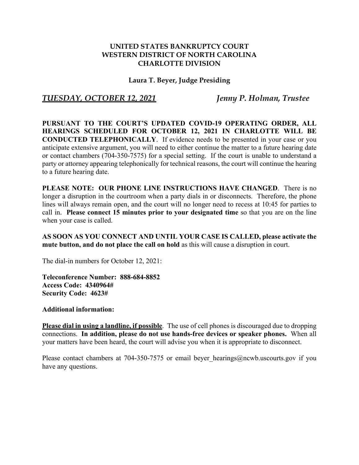## **UNITED STATES BANKRUPTCY COURT WESTERN DISTRICT OF NORTH CAROLINA CHARLOTTE DIVISION**

## **Laura T. Beyer, Judge Presiding**

## *TUESDAY, OCTOBER 12, 2021 Jenny P. Holman, Trustee*

**PURSUANT TO THE COURT'S UPDATED COVID-19 OPERATING ORDER, ALL HEARINGS SCHEDULED FOR OCTOBER 12, 2021 IN CHARLOTTE WILL BE CONDUCTED TELEPHONICALLY**. If evidence needs to be presented in your case or you anticipate extensive argument, you will need to either continue the matter to a future hearing date or contact chambers (704-350-7575) for a special setting. If the court is unable to understand a party or attorney appearing telephonically for technical reasons, the court will continue the hearing to a future hearing date.

**PLEASE NOTE: OUR PHONE LINE INSTRUCTIONS HAVE CHANGED**. There is no longer a disruption in the courtroom when a party dials in or disconnects. Therefore, the phone lines will always remain open, and the court will no longer need to recess at 10:45 for parties to call in. **Please connect 15 minutes prior to your designated time** so that you are on the line when your case is called.

**AS SOON AS YOU CONNECT AND UNTIL YOUR CASE IS CALLED, please activate the mute button, and do not place the call on hold** as this will cause a disruption in court.

The dial-in numbers for October 12, 2021:

**Teleconference Number: 888-684-8852 Access Code: 4340964# Security Code: 4623#**

**Additional information:**

**Please dial in using a landline, if possible**. The use of cell phones is discouraged due to dropping connections. **In addition, please do not use hands-free devices or speaker phones.** When all your matters have been heard, the court will advise you when it is appropriate to disconnect.

Please contact chambers at 704-350-7575 or email beyer hearings@ncwb.uscourts.gov if you have any questions.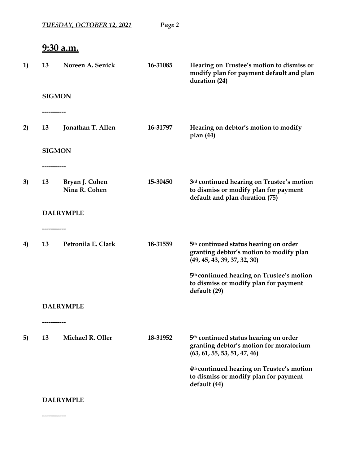|    |             | <b>TUESDAY, OCTOBER 12, 2021</b> | Page 2   |                                                                                                                              |
|----|-------------|----------------------------------|----------|------------------------------------------------------------------------------------------------------------------------------|
|    |             | <u>9:30 a.m.</u>                 |          |                                                                                                                              |
| 1) | 13          | Noreen A. Senick                 | 16-31085 | Hearing on Trustee's motion to dismiss or<br>modify plan for payment default and plan<br>duration (24)                       |
|    |             | <b>SIGMON</b>                    |          |                                                                                                                              |
|    | ----------- |                                  |          |                                                                                                                              |
| 2) | 13          | Jonathan T. Allen                | 16-31797 | Hearing on debtor's motion to modify<br>plan $(44)$                                                                          |
|    |             | <b>SIGMON</b>                    |          |                                                                                                                              |
|    |             |                                  |          |                                                                                                                              |
| 3) | 13          | Bryan J. Cohen<br>Nina R. Cohen  | 15-30450 | 3rd continued hearing on Trustee's motion<br>to dismiss or modify plan for payment<br>default and plan duration (75)         |
|    |             | <b>DALRYMPLE</b>                 |          |                                                                                                                              |
| 4) | 13          | Petronila E. Clark               | 18-31559 | 5 <sup>th</sup> continued status hearing on order<br>granting debtor's motion to modify plan<br>(49, 45, 43, 39, 37, 32, 30) |
|    |             |                                  |          | 5 <sup>th</sup> continued hearing on Trustee's motion<br>to dismiss or modify plan for payment<br>default (29)               |
|    |             | <b>DALRYMPLE</b>                 |          |                                                                                                                              |
|    | ----------- |                                  |          |                                                                                                                              |
| 5) | 13          | Michael R. Oller                 | 18-31952 | 5 <sup>th</sup> continued status hearing on order<br>granting debtor's motion for moratorium<br>(63, 61, 55, 53, 51, 47, 46) |
|    |             |                                  |          | 4 <sup>th</sup> continued hearing on Trustee's motion<br>to dismiss or modify plan for payment<br>default (44)               |
|    |             | <b>DALRYMPLE</b>                 |          |                                                                                                                              |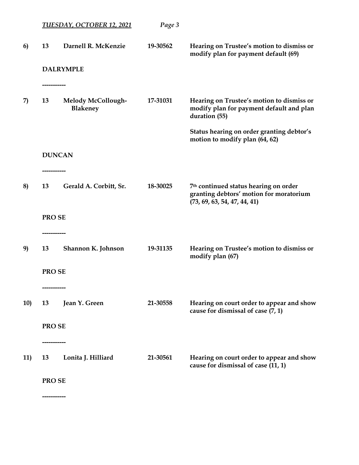|     |                   | <u>TUESDAY, OCTOBER 12, 2021</u>             | Page 3   |                                                                                                                  |
|-----|-------------------|----------------------------------------------|----------|------------------------------------------------------------------------------------------------------------------|
| 6)  | 13                | Darnell R. McKenzie                          | 19-30562 | Hearing on Trustee's motion to dismiss or<br>modify plan for payment default (69)                                |
|     | -----------       | <b>DALRYMPLE</b>                             |          |                                                                                                                  |
| 7)  | 13                | <b>Melody McCollough-</b><br><b>Blakeney</b> | 17-31031 | Hearing on Trustee's motion to dismiss or<br>modify plan for payment default and plan<br>duration (55)           |
|     |                   |                                              |          | Status hearing on order granting debtor's<br>motion to modify plan (64, 62)                                      |
|     |                   | <b>DUNCAN</b>                                |          |                                                                                                                  |
| 8)  | 13                | Gerald A. Corbitt, Sr.                       | 18-30025 | 7th continued status hearing on order<br>granting debtors' motion for moratorium<br>(73, 69, 63, 54, 47, 44, 41) |
|     | PRO SE            |                                              |          |                                                                                                                  |
| 9)  | -----------<br>13 | Shannon K. Johnson                           | 19-31135 | Hearing on Trustee's motion to dismiss or<br>modify plan (67)                                                    |
|     | PRO SE            |                                              |          |                                                                                                                  |
| 10) | 13                | Jean Y. Green                                | 21-30558 | Hearing on court order to appear and show<br>cause for dismissal of case (7, 1)                                  |
|     | PRO SE            |                                              |          |                                                                                                                  |
| 11) | 13                | Lonita J. Hilliard                           | 21-30561 | Hearing on court order to appear and show<br>cause for dismissal of case (11, 1)                                 |
|     | PRO SE            |                                              |          |                                                                                                                  |
|     |                   |                                              |          |                                                                                                                  |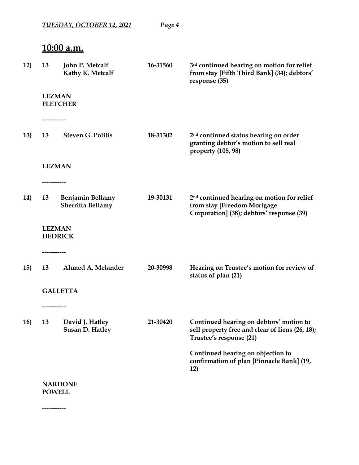| 13         | John P. Metcalf<br>Kathy K. Metcalf             | 16-31560 | 3rd continued hearing on motion for relief<br>from stay [Fifth Third Bank] (34); debtors'<br>response (35)                         |
|------------|-------------------------------------------------|----------|------------------------------------------------------------------------------------------------------------------------------------|
|            | <b>LEZMAN</b><br><b>FLETCHER</b>                |          |                                                                                                                                    |
| 13         | ----------<br><b>Steven G. Politis</b>          | 18-31302 | 2 <sup>nd</sup> continued status hearing on order<br>granting debtor's motion to sell real<br>property (108, 98)                   |
| ---------- | <b>LEZMAN</b>                                   |          |                                                                                                                                    |
| 13         | <b>Benjamin Bellamy</b><br>Sherritta Bellamy    | 19-30131 | 2 <sup>nd</sup> continued hearing on motion for relief<br>from stay [Freedom Mortgage<br>Corporation] (38); debtors' response (39) |
|            | <b>LEZMAN</b><br><b>HEDRICK</b>                 |          |                                                                                                                                    |
| 13         | Ahmed A. Melander                               | 20-30998 | Hearing on Trustee's motion for review of<br>status of plan (21)                                                                   |
|            | <b>GALLETTA</b>                                 |          |                                                                                                                                    |
| 13         | ---------<br>David J. Hatley<br>Susan D. Hatley | 21-30420 | Continued hearing on debtors' motion to<br>sell property free and clear of liens (26, 18);<br>Trustee's response (21)              |
|            |                                                 |          | Continued hearing on objection to<br>confirmation of plan [Pinnacle Bank] (19,<br>12)                                              |

*TUESDAY, OCTOBER 12, 2021 Page 4*

**NARDONE POWELL**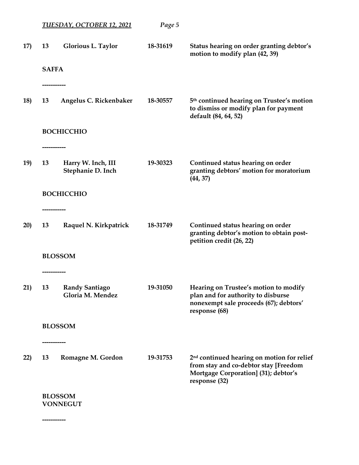|     |               | <b>TUESDAY, OCTOBER 12, 2021</b>          | Page 5   |                                                                                                                                                          |
|-----|---------------|-------------------------------------------|----------|----------------------------------------------------------------------------------------------------------------------------------------------------------|
| 17) | 13            | <b>Glorious L. Taylor</b>                 | 18-31619 | Status hearing on order granting debtor's<br>motion to modify plan (42, 39)                                                                              |
|     | <b>SAFFA</b>  |                                           |          |                                                                                                                                                          |
|     | _________     |                                           |          |                                                                                                                                                          |
| 18) | 13            | Angelus C. Rickenbaker                    | 18-30557 | 5 <sup>th</sup> continued hearing on Trustee's motion<br>to dismiss or modify plan for payment<br>default (84, 64, 52)                                   |
|     |               | <b>BOCHICCHIO</b>                         |          |                                                                                                                                                          |
|     | ------------- |                                           |          |                                                                                                                                                          |
| 19) | 13            | Harry W. Inch, III<br>Stephanie D. Inch   | 19-30323 | Continued status hearing on order<br>granting debtors' motion for moratorium<br>(44, 37)                                                                 |
|     |               | <b>BOCHICCHIO</b>                         |          |                                                                                                                                                          |
|     | -----------   |                                           |          |                                                                                                                                                          |
| 20) | 13            | Raquel N. Kirkpatrick                     | 18-31749 | Continued status hearing on order<br>granting debtor's motion to obtain post-<br>petition credit (26, 22)                                                |
|     |               | <b>BLOSSOM</b>                            |          |                                                                                                                                                          |
|     |               |                                           |          |                                                                                                                                                          |
| 21) | 13            | <b>Randy Santiago</b><br>Gloria M. Mendez | 19-31050 | Hearing on Trustee's motion to modify<br>plan and for authority to disburse<br>nonexempt sale proceeds (67); debtors'<br>response (68)                   |
|     |               | <b>BLOSSOM</b>                            |          |                                                                                                                                                          |
|     |               |                                           |          |                                                                                                                                                          |
| 22) | 13            | Romagne M. Gordon                         | 19-31753 | 2 <sup>nd</sup> continued hearing on motion for relief<br>from stay and co-debtor stay [Freedom<br>Mortgage Corporation] (31); debtor's<br>response (32) |
|     |               | <b>BLOSSOM</b>                            |          |                                                                                                                                                          |
|     |               | <b>VONNEGUT</b>                           |          |                                                                                                                                                          |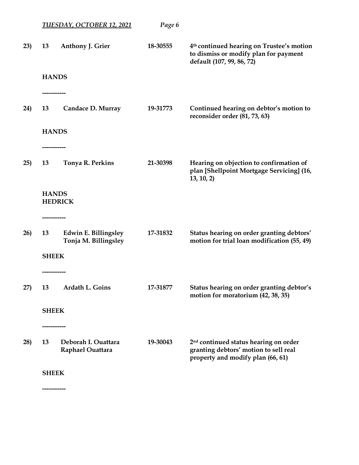|     |                 | <u>TUESDAY, OCTOBER 12, 2021</u>             | Page 6   |                                                                                                                                 |
|-----|-----------------|----------------------------------------------|----------|---------------------------------------------------------------------------------------------------------------------------------|
| 23) | 13              | Anthony J. Grier                             | 18-30555 | 4 <sup>th</sup> continued hearing on Trustee's motion<br>to dismiss or modify plan for payment<br>default (107, 99, 86, 72)     |
|     | <b>HANDS</b>    |                                              |          |                                                                                                                                 |
|     |                 |                                              |          |                                                                                                                                 |
| 24) | 13              | Candace D. Murray                            | 19-31773 | Continued hearing on debtor's motion to<br>reconsider order (81, 73, 63)                                                        |
|     | <b>HANDS</b>    |                                              |          |                                                                                                                                 |
|     | --------------- |                                              |          |                                                                                                                                 |
| 25) | 13              | Tonya R. Perkins                             | 21-30398 | Hearing on objection to confirmation of<br>plan [Shellpoint Mortgage Servicing] (16,<br>13, 10, 2)                              |
|     | <b>HANDS</b>    |                                              |          |                                                                                                                                 |
|     |                 | <b>HEDRICK</b>                               |          |                                                                                                                                 |
|     | -----------     |                                              |          |                                                                                                                                 |
| 26) | 13              | Edwin E. Billingsley<br>Tonja M. Billingsley | 17-31832 | Status hearing on order granting debtors'<br>motion for trial loan modification (55, 49)                                        |
|     | <b>SHEEK</b>    |                                              |          |                                                                                                                                 |
|     |                 |                                              |          |                                                                                                                                 |
| 27) | 13              | Ardath L. Goins                              | 17-31877 | Status hearing on order granting debtor's<br>motion for moratorium (42, 38, 35)                                                 |
|     | <b>SHEEK</b>    |                                              |          |                                                                                                                                 |
|     |                 |                                              |          |                                                                                                                                 |
| 28) | 13              | Deborah I. Ouattara<br>Raphael Ouattara      | 19-30043 | 2 <sup>nd</sup> continued status hearing on order<br>granting debtors' motion to sell real<br>property and modify plan (66, 61) |
|     | <b>SHEEK</b>    |                                              |          |                                                                                                                                 |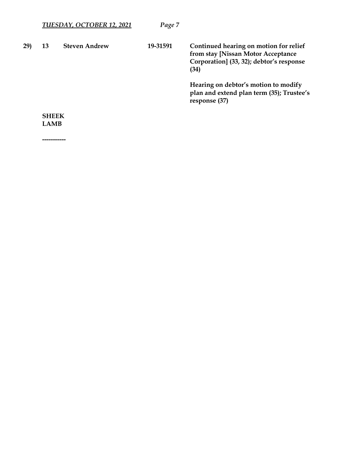|    | TUESDAY, OCTOBER 12, 2021 | Page 7               |                                                                                                                                  |
|----|---------------------------|----------------------|----------------------------------------------------------------------------------------------------------------------------------|
| 13 | <b>Steven Andrew</b>      | 19-31591             | Continued hearing on motion for relief<br>from stay [Nissan Motor Acceptance<br>Corporation] (33, 32); debtor's response<br>(34) |
|    |                           |                      | Hearing on debtor's motion to modify<br>plan and extend plan term (35); Trustee's<br>response (37)                               |
|    |                           |                      |                                                                                                                                  |
|    |                           | <b>SHEEK</b><br>LAMB |                                                                                                                                  |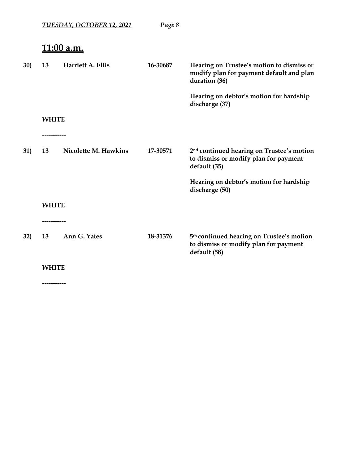|            |              | <u>TUESDAY, OCTOBER 12, 2021</u> | Page 8   |                                                                                                                |
|------------|--------------|----------------------------------|----------|----------------------------------------------------------------------------------------------------------------|
|            |              | <u>11:00 a.m.</u>                |          |                                                                                                                |
| <b>30)</b> | 13           | Harriett A. Ellis                | 16-30687 | Hearing on Trustee's motion to dismiss or<br>modify plan for payment default and plan<br>duration (36)         |
|            |              |                                  |          | Hearing on debtor's motion for hardship<br>discharge (37)                                                      |
|            | <b>WHITE</b> |                                  |          |                                                                                                                |
|            | --------     |                                  |          |                                                                                                                |
| 31)        | 13           | Nicolette M. Hawkins             | 17-30571 | 2 <sup>nd</sup> continued hearing on Trustee's motion<br>to dismiss or modify plan for payment<br>default (35) |
|            |              |                                  |          | Hearing on debtor's motion for hardship<br>discharge (50)                                                      |
|            | <b>WHITE</b> |                                  |          |                                                                                                                |
|            |              |                                  |          |                                                                                                                |
| 32)        | 13           | Ann G. Yates                     | 18-31376 | 5 <sup>th</sup> continued hearing on Trustee's motion<br>to dismiss or modify plan for payment<br>default (58) |
|            | <b>WHITE</b> |                                  |          |                                                                                                                |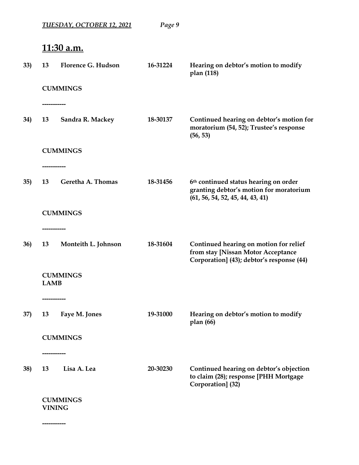|     |                   | <u>TUESDAY, OCTOBER 12, 2021</u> | Page 9   |                                                                                                                           |
|-----|-------------------|----------------------------------|----------|---------------------------------------------------------------------------------------------------------------------------|
|     |                   | <u>11:30 a.m.</u>                |          |                                                                                                                           |
| 33) | 13                | <b>Florence G. Hudson</b>        | 16-31224 | Hearing on debtor's motion to modify<br>plan (118)                                                                        |
|     |                   | <b>CUMMINGS</b>                  |          |                                                                                                                           |
| 34) | 13                | Sandra R. Mackey                 | 18-30137 | Continued hearing on debtor's motion for<br>moratorium (54, 52); Trustee's response<br>(56, 53)                           |
|     |                   | <b>CUMMINGS</b>                  |          |                                                                                                                           |
| 35) | -----------<br>13 | Geretha A. Thomas                | 18-31456 | 6th continued status hearing on order<br>granting debtor's motion for moratorium<br>(61, 56, 54, 52, 45, 44, 43, 41)      |
|     |                   | <b>CUMMINGS</b>                  |          |                                                                                                                           |
| 36) | 13                | Monteith L. Johnson              | 18-31604 | Continued hearing on motion for relief<br>from stay [Nissan Motor Acceptance<br>Corporation] (43); debtor's response (44) |
|     | <b>LAMB</b>       | <b>CUMMINGS</b>                  |          |                                                                                                                           |
|     |                   |                                  |          |                                                                                                                           |
| 37) | 13                | Faye M. Jones                    | 19-31000 | Hearing on debtor's motion to modify<br>plan(66)                                                                          |
|     |                   | <b>CUMMINGS</b>                  |          |                                                                                                                           |
| 38) | 13                | ---------<br>Lisa A. Lea         | 20-30230 | Continued hearing on debtor's objection<br>to claim (28); response [PHH Mortgage<br>Corporation] (32)                     |
|     | <b>VINING</b>     | <b>CUMMINGS</b>                  |          |                                                                                                                           |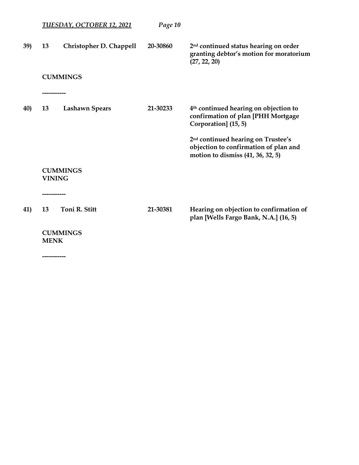|     |               | <u>TUESDAY, OCTOBER 12, 2021</u> | Page 10  |                                                                                                                              |
|-----|---------------|----------------------------------|----------|------------------------------------------------------------------------------------------------------------------------------|
| 39) | 13            | Christopher D. Chappell          | 20-30860 | 2 <sup>nd</sup> continued status hearing on order<br>granting debtor's motion for moratorium<br>(27, 22, 20)                 |
|     |               | <b>CUMMINGS</b>                  |          |                                                                                                                              |
|     | -----------   |                                  |          |                                                                                                                              |
| 40) | 13            | <b>Lashawn Spears</b>            | 21-30233 | 4 <sup>th</sup> continued hearing on objection to<br>confirmation of plan [PHH Mortgage<br>Corporation] (15, 5)              |
|     |               |                                  |          | 2 <sup>nd</sup> continued hearing on Trustee's<br>objection to confirmation of plan and<br>motion to dismiss (41, 36, 32, 5) |
|     | <b>VINING</b> | <b>CUMMINGS</b>                  |          |                                                                                                                              |
|     | -----------   |                                  |          |                                                                                                                              |
| 41) | 13            | Toni R. Stitt                    | 21-30381 | Hearing on objection to confirmation of<br>plan [Wells Fargo Bank, N.A.] (16, 5)                                             |
|     | <b>MENK</b>   | <b>CUMMINGS</b>                  |          |                                                                                                                              |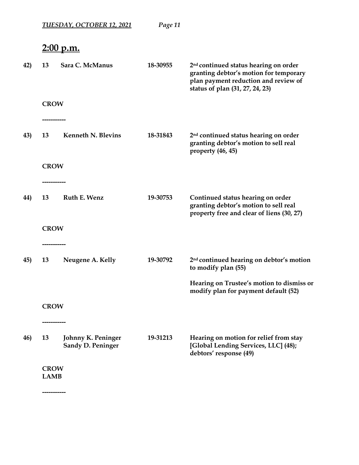|     |                            | <u>TUESDAY, OCTOBER 12, 2021</u>        | Page 11  |                                                                                                                                                                        |
|-----|----------------------------|-----------------------------------------|----------|------------------------------------------------------------------------------------------------------------------------------------------------------------------------|
|     |                            | <u>2:00 p.m.</u>                        |          |                                                                                                                                                                        |
| 42) | 13                         | Sara C. McManus                         | 18-30955 | 2 <sup>nd</sup> continued status hearing on order<br>granting debtor's motion for temporary<br>plan payment reduction and review of<br>status of plan (31, 27, 24, 23) |
|     | <b>CROW</b>                |                                         |          |                                                                                                                                                                        |
|     |                            |                                         |          |                                                                                                                                                                        |
| 43) | 13                         | <b>Kenneth N. Blevins</b>               | 18-31843 | 2 <sup>nd</sup> continued status hearing on order<br>granting debtor's motion to sell real<br>property (46, 45)                                                        |
|     | <b>CROW</b>                |                                         |          |                                                                                                                                                                        |
|     |                            |                                         |          |                                                                                                                                                                        |
| 44) | 13                         | Ruth E. Wenz                            | 19-30753 | Continued status hearing on order<br>granting debtor's motion to sell real<br>property free and clear of liens (30, 27)                                                |
|     | <b>CROW</b>                |                                         |          |                                                                                                                                                                        |
|     |                            |                                         |          |                                                                                                                                                                        |
| 45) | 13                         | Neugene A. Kelly                        | 19-30792 | 2 <sup>nd</sup> continued hearing on debtor's motion<br>to modify plan (55)                                                                                            |
|     |                            |                                         |          | Hearing on Trustee's motion to dismiss or<br>modify plan for payment default (52)                                                                                      |
|     | <b>CROW</b>                |                                         |          |                                                                                                                                                                        |
|     |                            |                                         |          |                                                                                                                                                                        |
| 46) | 13                         | Johnny K. Peninger<br>Sandy D. Peninger | 19-31213 | Hearing on motion for relief from stay<br>[Global Lending Services, LLC] (48);<br>debtors' response (49)                                                               |
|     | <b>CROW</b><br><b>LAMB</b> |                                         |          |                                                                                                                                                                        |
|     | -----------                |                                         |          |                                                                                                                                                                        |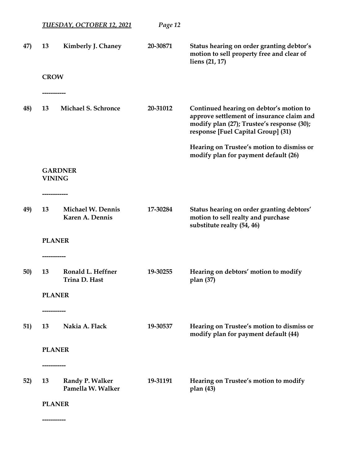|     |                                 | <b>TUESDAY, OCTOBER 12, 2021</b>     | Page 12  |                                                                                                                                                                          |
|-----|---------------------------------|--------------------------------------|----------|--------------------------------------------------------------------------------------------------------------------------------------------------------------------------|
| 47) | 13                              | Kimberly J. Chaney                   | 20-30871 | Status hearing on order granting debtor's<br>motion to sell property free and clear of<br>liens (21, 17)                                                                 |
|     | <b>CROW</b>                     |                                      |          |                                                                                                                                                                          |
| 48) | 13                              | <b>Michael S. Schronce</b>           | 20-31012 | Continued hearing on debtor's motion to<br>approve settlement of insurance claim and<br>modify plan (27); Trustee's response (30);<br>response [Fuel Capital Group] (31) |
|     |                                 |                                      |          | Hearing on Trustee's motion to dismiss or<br>modify plan for payment default (26)                                                                                        |
|     | <b>GARDNER</b><br><b>VINING</b> |                                      |          |                                                                                                                                                                          |
| 49) | 13                              | Michael W. Dennis<br>Karen A. Dennis | 17-30284 | Status hearing on order granting debtors'<br>motion to sell realty and purchase<br>substitute realty (54, 46)                                                            |
|     | <b>PLANER</b>                   |                                      |          |                                                                                                                                                                          |
|     |                                 |                                      |          |                                                                                                                                                                          |
| 50) | 13                              | Ronald L. Heffner<br>Trina D. Hast   | 19-30255 | Hearing on debtors' motion to modify<br>plan (37)                                                                                                                        |
|     | <b>PLANER</b>                   |                                      |          |                                                                                                                                                                          |
|     |                                 |                                      |          |                                                                                                                                                                          |
| 51) | 13                              | Nakia A. Flack                       | 19-30537 | Hearing on Trustee's motion to dismiss or<br>modify plan for payment default (44)                                                                                        |
|     | <b>PLANER</b>                   |                                      |          |                                                                                                                                                                          |
|     | -----------                     |                                      |          |                                                                                                                                                                          |
| 52) | 13                              | Randy P. Walker<br>Pamella W. Walker | 19-31191 | Hearing on Trustee's motion to modify<br>plan(43)                                                                                                                        |
|     | <b>PLANER</b>                   |                                      |          |                                                                                                                                                                          |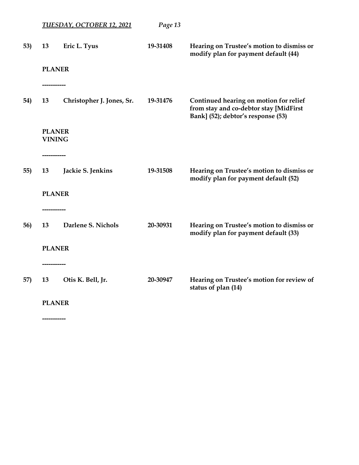|     |                     | <b>TUESDAY, OCTOBER 12, 2021</b> | Page 13  |                                                                                                                        |
|-----|---------------------|----------------------------------|----------|------------------------------------------------------------------------------------------------------------------------|
| 53) | 13<br><b>PLANER</b> | Eric L. Tyus                     | 19-31408 | Hearing on Trustee's motion to dismiss or<br>modify plan for payment default (44)                                      |
|     |                     |                                  |          |                                                                                                                        |
| 54) | 13                  | Christopher J. Jones, Sr.        | 19-31476 | Continued hearing on motion for relief<br>from stay and co-debtor stay [MidFirst<br>Bank] (52); debtor's response (53) |
|     | <b>PLANER</b>       |                                  |          |                                                                                                                        |
|     | <b>VINING</b>       |                                  |          |                                                                                                                        |
|     |                     |                                  |          |                                                                                                                        |
| 55) | 13                  | Jackie S. Jenkins                | 19-31508 | Hearing on Trustee's motion to dismiss or<br>modify plan for payment default (52)                                      |
|     | <b>PLANER</b>       |                                  |          |                                                                                                                        |
|     |                     |                                  |          |                                                                                                                        |
| 56) | 13                  | Darlene S. Nichols               | 20-30931 | Hearing on Trustee's motion to dismiss or<br>modify plan for payment default (33)                                      |
|     | <b>PLANER</b>       |                                  |          |                                                                                                                        |
|     |                     |                                  |          |                                                                                                                        |
| 57) | 13                  | Otis K. Bell, Jr.                | 20-30947 | Hearing on Trustee's motion for review of<br>status of plan (14)                                                       |
|     | <b>PLANER</b>       |                                  |          |                                                                                                                        |
|     |                     |                                  |          |                                                                                                                        |